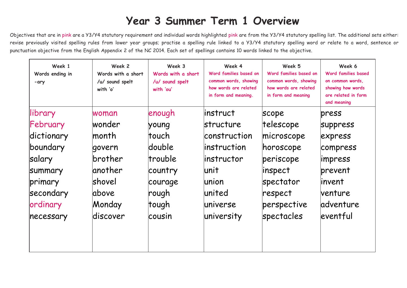## **Year 3 Summer Term 1 Overview**

Objectives that are in pink are a Y3/Y4 statutory requirement and individual words highlighted pink are from the Y3/Y4 statutory spelling list. The additional sets either: revise previously visited spelling rules from lower year groups; practise a spelling rule linked to a Y3/Y4 statutory spelling word or relate to a word, sentence or punctuation objective from the English Appendix 2 of the NC 2014. Each set of spellings contains 10 words linked to the objective.

| Week 1<br>Words ending in<br>-ary | Week 2<br>Words with a short<br>/u/ sound spelt<br>with 'o' | Week 3<br>Words with a short<br>/u/ sound spelt<br>with 'ou' | Week 4<br>Word families based on<br>common words, showing<br>how words are related<br>in form and meaning. | Week 5<br>Word families based on<br>common words, showing<br>how words are related<br>in form and meaning | Week 6<br><b>Word families based</b><br>on common words,<br>showing how words<br>are related in form<br>and meaning |
|-----------------------------------|-------------------------------------------------------------|--------------------------------------------------------------|------------------------------------------------------------------------------------------------------------|-----------------------------------------------------------------------------------------------------------|---------------------------------------------------------------------------------------------------------------------|
| library                           | woman                                                       | enough                                                       | linstruct                                                                                                  | scope                                                                                                     | press                                                                                                               |
| February                          | wonder                                                      | young                                                        | <b>structure</b>                                                                                           | telescope                                                                                                 | <b>Suppress</b>                                                                                                     |
| dictionary                        | lmonth                                                      | ltouch                                                       | construction                                                                                               | microscope                                                                                                | express                                                                                                             |
| boundary                          | govern                                                      | ldouble                                                      | linstruction                                                                                               | horoscope                                                                                                 | compress                                                                                                            |
| salary                            | brother                                                     | trouble                                                      | linstructor                                                                                                | periscope                                                                                                 | impress                                                                                                             |
| Summary                           | lanother                                                    | country                                                      | lunit                                                                                                      | inspect                                                                                                   | prevent                                                                                                             |
| primary                           | Ishovel                                                     | courage                                                      | lunion                                                                                                     | spectator                                                                                                 | linvent                                                                                                             |
| secondary                         | labove                                                      | rough                                                        | lunited                                                                                                    | respect                                                                                                   | <b>venture</b>                                                                                                      |
| ordinary                          | Monday                                                      | tough                                                        | luniverse                                                                                                  | perspective                                                                                               | ladventure                                                                                                          |
| necessary                         | ldiscover                                                   | lcousin                                                      | university                                                                                                 | spectacles                                                                                                | eventful                                                                                                            |
|                                   |                                                             |                                                              |                                                                                                            |                                                                                                           |                                                                                                                     |